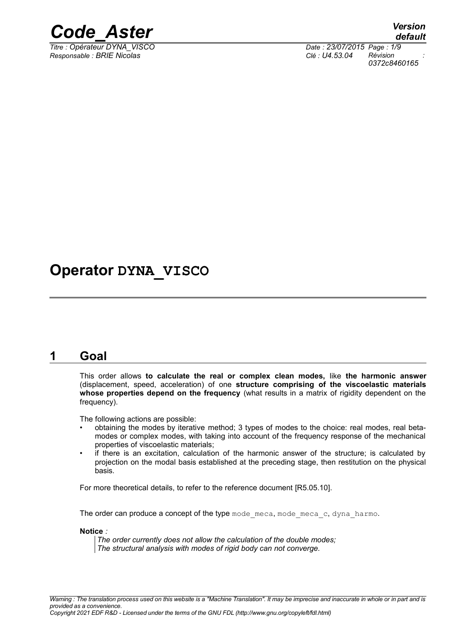

*Titre : Opérateur DYNA\_VISCO Date : 23/07/2015 Page : 1/9 Responsable : BRIE Nicolas Clé : U4.53.04 Révision :*

*0372c8460165*

## **Operator DYNA\_VISCO**

## **1 Goal**

This order allows **to calculate the real or complex clean modes,** like **the harmonic answer** (displacement, speed, acceleration) of one **structure comprising of the viscoelastic materials whose properties depend on the frequency** (what results in a matrix of rigidity dependent on the frequency).

The following actions are possible:

- obtaining the modes by iterative method; 3 types of modes to the choice: real modes, real betamodes or complex modes, with taking into account of the frequency response of the mechanical properties of viscoelastic materials;
- if there is an excitation, calculation of the harmonic answer of the structure; is calculated by projection on the modal basis established at the preceding stage, then restitution on the physical basis.

For more theoretical details, to refer to the reference document [R5.05.10].

The order can produce a concept of the type mode meca, mode meca  $c$ , dyna harmo.

**Notice** *:*

*The order currently does not allow the calculation of the double modes; The structural analysis with modes of rigid body can not converge.*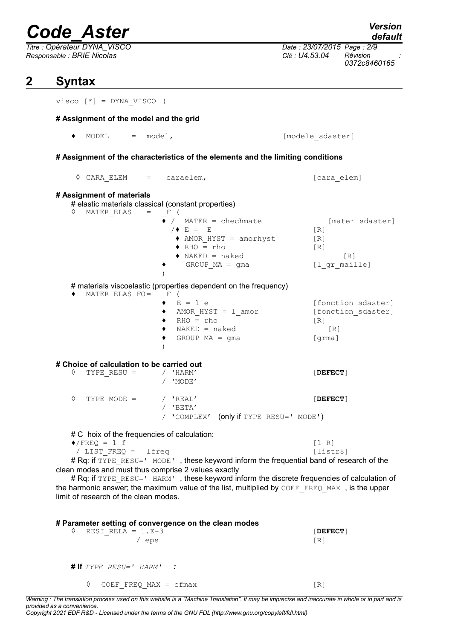*Titre : Opérateur DYNA\_VISCO Date : 23/07/2015 Page : 2/9 Responsable : BRIE Nicolas Clé : U4.53.04 Révision :*

## **2 Syntax**

visco [\*] = DYNA\_VISCO (

#### **# Assignment of the model and the grid**

♦ MODEL = model, [modele\_sdaster]

**# Assignment of the characteristics of the elements and the limiting conditions**

|                                                                                                                                                                                                                                                | $\Diamond$ CARA ELEM = caraelem, |  |                                                                                                                                                      | [cara elem]                                                                   |  |  |  |  |
|------------------------------------------------------------------------------------------------------------------------------------------------------------------------------------------------------------------------------------------------|----------------------------------|--|------------------------------------------------------------------------------------------------------------------------------------------------------|-------------------------------------------------------------------------------|--|--|--|--|
| # Assignment of materials<br># elastic materials classical (constant properties)<br>♦<br>MATER ELAS<br>$\hspace{1.6cm} = \hspace{1.6cm}$<br>$-F$ (                                                                                             |                                  |  |                                                                                                                                                      |                                                                               |  |  |  |  |
|                                                                                                                                                                                                                                                |                                  |  | $\rightarrow$ / MATER = chechmate<br>$/$ E = E<br>AMOR HYST = amorhyst<br>$\triangle$ RHO = rho<br>$\blacklozenge$ NAKED = naked<br>$GROUP MA = gma$ | [mater sdaster]<br>[R]<br>[R]<br>[R]<br>$\lceil R \rceil$<br>[1 gr maille]    |  |  |  |  |
| # materials viscoelastic (properties dependent on the frequency)<br>– F                                                                                                                                                                        |                                  |  |                                                                                                                                                      |                                                                               |  |  |  |  |
| ٠                                                                                                                                                                                                                                              | MATER ELAS FO=                   |  | $\left($<br>$E = 1 e$<br>AMOR $HYST = 1$ amor<br>$RHO = rho$<br>$NAKED = naked$<br>GROUP $MA = gma$                                                  | [fonction sdaster]<br>[fonction sdaster]<br>$\lceil R \rceil$<br>[R]<br>[qrm] |  |  |  |  |
| # Choice of calculation to be carried out                                                                                                                                                                                                      |                                  |  |                                                                                                                                                      |                                                                               |  |  |  |  |
| ♦                                                                                                                                                                                                                                              | TYPE RESU =                      |  | / 'HARM'<br>/ 'MODE'                                                                                                                                 | [DEFECT]                                                                      |  |  |  |  |
| ♦                                                                                                                                                                                                                                              | TYPE MODE =                      |  | / 'REAL'<br>$/$ 'BETA'                                                                                                                               | $[$ DEFECT $]$                                                                |  |  |  |  |
|                                                                                                                                                                                                                                                |                                  |  | / 'COMPLEX' (only if TYPE RESU=' MODE')                                                                                                              |                                                                               |  |  |  |  |
| # C hoix of the frequencies of calculation:<br>$\sqrt{FREQ} = 1$ f<br>[1 R]                                                                                                                                                                    |                                  |  |                                                                                                                                                      |                                                                               |  |  |  |  |
|                                                                                                                                                                                                                                                | / LIST FREQ = lfreq              |  |                                                                                                                                                      | [liststr8]                                                                    |  |  |  |  |
| # Rq: if TYPE RESU=' MODE', these keyword inform the frequential band of research of the<br>clean modes and must thus comprise 2 values exactly<br># Rq: if TYPE RESU=' HARM', these keyword inform the discrete frequencies of calculation of |                                  |  |                                                                                                                                                      |                                                                               |  |  |  |  |
| the harmonic answer; the maximum value of the list, multiplied by COEF FREQ MAX, is the upper<br>limit of research of the clean modes.                                                                                                         |                                  |  |                                                                                                                                                      |                                                                               |  |  |  |  |
| # Parameter setting of convergence on the clean modes                                                                                                                                                                                          |                                  |  |                                                                                                                                                      |                                                                               |  |  |  |  |

| RESI RELA = $1.E-3$<br>eps          | $[$ DEFECT $]$<br>$\lceil R \rceil$ |
|-------------------------------------|-------------------------------------|
| <b># If</b> $TYPE$ $RESU=$ $HARM$ : |                                     |
| COEF FREQ MAX = $cfmax$<br>♦        | IR1                                 |

*Warning : The translation process used on this website is a "Machine Translation". It may be imprecise and inaccurate in whole or in part and is provided as a convenience.*

*Copyright 2021 EDF R&D - Licensed under the terms of the GNU FDL (http://www.gnu.org/copyleft/fdl.html)*

*default*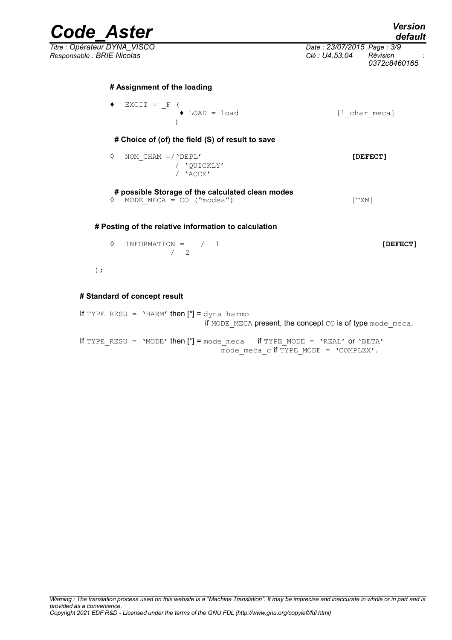*Code\_Aster Version default*

*Titre : Opérateur DYNA\_VISCO Date : 23/07/2015 Page : 3/9 Responsable : BRIE Nicolas Clé : U4.53.04 Révision :*

*0372c8460165*

#### **# Assignment of the loading**

 $EXCIT = \_F$  ( ♦ LOAD = load [l\_char\_meca]  $\lambda$ **# Choice of (of) the field (S) of result to save** ◊ NOM\_CHAM =/'DEPL' **[DEFECT]** / 'QUICKLY' / 'ACCE' **# possible Storage of the calculated clean modes**

◊ MODE\_MECA = CO ("modes") [TXM]

#### **# Posting of the relative information to calculation**

### ◊ INFORMATION = / 1 **[DEFECT]** / 2

)  $\,$  ;

#### **# Standard of concept result**

If TYPE RESU = 'HARM' then  $[*] =$  dyna harmo if MODE MECA present, the concept CO is of type mode meca. If TYPE RESU = 'MODE' then  $[*)$  = mode meca if TYPE MODE = 'REAL' or 'BETA' mode meca c if TYPE MODE =  $'COMPLEX'$ .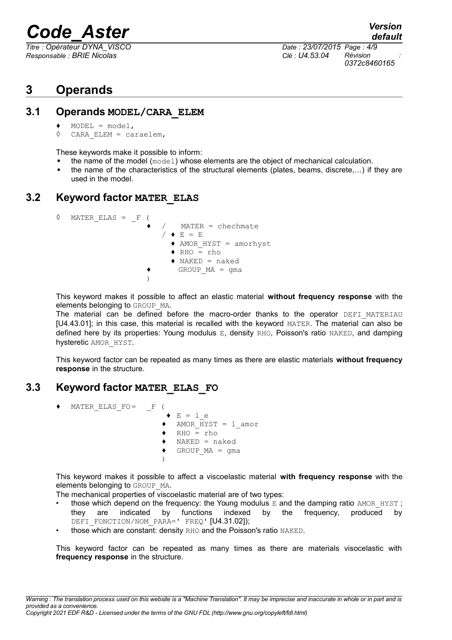*Responsable : BRIE Nicolas Clé : U4.53.04 Révision :*

*Titre : Opérateur DYNA\_VISCO Date : 23/07/2015 Page : 4/9 0372c8460165*

## **3 Operands**

### **3.1 Operands MODEL/CARA\_ELEM**

- $\triangleleft$  MODEL = model,
- ◊ CARA\_ELEM = caraelem,

These keywords make it possible to inform:

- the name of the model (model) whose elements are the object of mechanical calculation.
- the name of the characteristics of the structural elements (plates, beams, discrete,...) if they are used in the model.

### **3.2 Keyword factor MATER\_ELAS**

| ♦ | MATER ELAS $=$ $F$ ( |  |                                  |
|---|----------------------|--|----------------------------------|
|   |                      |  | $MATER = chechmate$              |
|   |                      |  | $/$ $\bullet$ E = E              |
|   |                      |  | $\triangle$ AMOR HYST = amorhyst |
|   |                      |  | $\bullet$ RHO = rho              |
|   |                      |  | $\bullet$ NAKED = naked          |
|   |                      |  | $GROUP MA = qma$                 |
|   |                      |  |                                  |
|   |                      |  |                                  |

This keyword makes it possible to affect an elastic material **without frequency response** with the elements belonging to GROUP MA.

The material can be defined before the macro-order thanks to the operator DEFI MATERIAU [U4.43.01]; in this case, this material is recalled with the keyword MATER. The material can also be defined here by its properties: Young modulus E, density RHO, Poisson's ratio NAKED, and damping hysteretic AMOR\_HYST.

This keyword factor can be repeated as many times as there are elastic materials **without frequency response** in the structure.

### **3.3 Keyword factor MATER\_ELAS\_FO**

 $MATER_ELAS_FO = F$  (  $\bullet$  E = 1 e ♦ AMOR\_HYST = l\_amor  $\triangleleft$  RHO = rho  $\triangleleft$  NAKED = naked  $\triangleleft$  GROUP MA = gma )

This keyword makes it possible to affect a viscoelastic material **with frequency response** with the elements belonging to GROUP MA.

The mechanical properties of viscoelastic material are of two types:

- those which depend on the frequency: the Young modulus  $E$  and the damping ratio AMOR  $HYST$ ; they are indicated by functions indexed by the frequency, produced by DEFI\_FONCTION/NOM\_PARA=' FREQ' [U4.31.02]);
- those which are constant: density RHO and the Poisson's ratio NAKED.

This keyword factor can be repeated as many times as there are materials visocelastic with **frequency response** in the structure.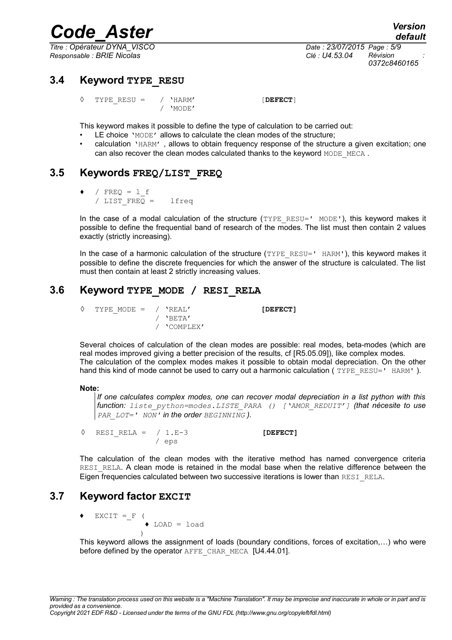*Responsable : BRIE Nicolas Clé : U4.53.04 Révision :*

*default Titre : Opérateur DYNA\_VISCO Date : 23/07/2015 Page : 5/9 0372c8460165*

### **3.4 Keyword TYPE\_RESU**

◊ TYPE\_RESU = / 'HARM' [**DEFECT**] / 'MODE'

This keyword makes it possible to define the type of calculation to be carried out:

- LE choice 'MODE' allows to calculate the clean modes of the structure;
- calculation 'HARM', allows to obtain frequency response of the structure a given excitation; one can also recover the clean modes calculated thanks to the keyword MODE\_MECA.

### **3.5 Keywords FREQ/LIST\_FREQ**

 $\triangleleft$  / FREQ = 1 f / LIST\_FREQ = lfreq

In the case of a modal calculation of the structure  $(TYPE$ <sub>RESU='</sub> MODE'), this keyword makes it possible to define the frequential band of research of the modes. The list must then contain 2 values exactly (strictly increasing).

In the case of a harmonic calculation of the structure  $(TYPE<sub>RESU</sub>=' HARM')$ , this keyword makes it possible to define the discrete frequencies for which the answer of the structure is calculated. The list must then contain at least 2 strictly increasing values.

### **3.6 Keyword TYPE\_MODE / RESI\_RELA**

```
◊ TYPE_MODE = / 'REAL' [DEFECT]
             / 'BETA'
             / 'COMPLEX'
```
Several choices of calculation of the clean modes are possible: real modes, beta-modes (which are real modes improved giving a better precision of the results, cf [R5.05.09]), like complex modes. The calculation of the complex modes makes it possible to obtain modal depreciation. On the other hand this kind of mode cannot be used to carry out a harmonic calculation ( $TYPE$ <sub>RESU='</sub> HARM').

#### **Note:**

*If one calculates complex modes, one can recover modal depreciation in a list python with this function: liste\_python=modes.LISTE\_PARA () ['AMOR\_REDUIT'] (that nécesite to use PAR LOT=' NON' in the order BEGINNING*  $)$ .

◊ RESI\_RELA = / 1.E-3 **[DEFECT]** / eps

The calculation of the clean modes with the iterative method has named convergence criteria RESI RELA. A clean mode is retained in the modal base when the relative difference between the Eigen frequencies calculated between two successive iterations is lower than RESI\_RELA.

### **3.7 Keyword factor EXCIT**

 $EXCIT = F ($  $\triangle$  LOAD = load )

This keyword allows the assignment of loads (boundary conditions, forces of excitation,…) who were before defined by the operator AFFE\_CHAR\_MECA [U4.44.01].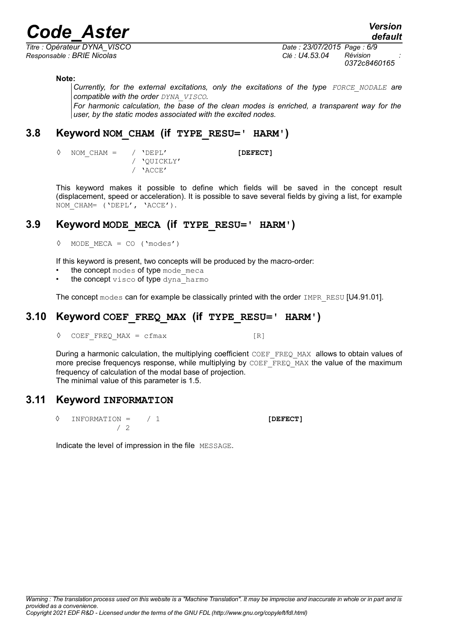*Titre : Opérateur DYNA\_VISCO Date : 23/07/2015 Page : 6/9 Responsable : BRIE Nicolas Clé : U4.53.04 Révision :*

*default*

*0372c8460165*

#### **Note:**

*Currently, for the external excitations, only the excitations of the type FORCE\_NODALE are compatible with the order DYNA\_VISCO.*

*For harmonic calculation, the base of the clean modes is enriched, a transparent way for the user, by the static modes associated with the excited nodes.*

### **3.8 Keyword NOM\_CHAM (if TYPE\_RESU=' HARM')**

/ 'QUICKLY' / 'ACCE'

◊ NOM\_CHAM = / 'DEPL' **[DEFECT]**

This keyword makes it possible to define which fields will be saved in the concept result (displacement, speed or acceleration). It is possible to save several fields by giving a list, for example NOM CHAM= ('DEPL', 'ACCE').

## **3.9 Keyword MODE\_MECA (if TYPE\_RESU=' HARM')**

◊ MODE\_MECA = CO ('modes')

If this keyword is present, two concepts will be produced by the macro-order:

- the concept modes of type mode meca
- the concept visco of type dyna harmo

The concept modes can for example be classically printed with the order IMPR\_RESU [U4.91.01].

## **3.10 Keyword COEF\_FREQ\_MAX (if TYPE\_RESU=' HARM')**

◊ COEF\_FREQ\_MAX = cfmax [R]

During a harmonic calculation, the multiplying coefficient  $CDEF$  FREQ MAX allows to obtain values of more precise frequencys response, while multiplying by COEF\_FREQ\_MAX the value of the maximum frequency of calculation of the modal base of projection. The minimal value of this parameter is 1.5.

### **3.11 Keyword INFORMATION**

◊ INFORMATION = / 1 **[DEFECT]** / 2

Indicate the level of impression in the file MESSAGE.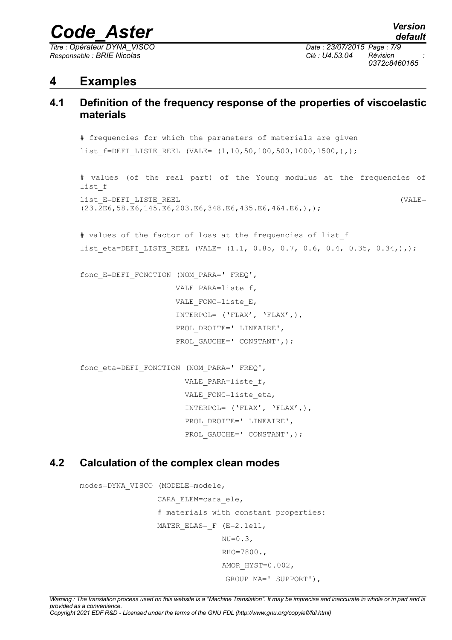*Titre : Opérateur DYNA\_VISCO Date : 23/07/2015 Page : 7/9 Responsable : BRIE Nicolas Clé : U4.53.04 Révision :*

*0372c8460165*

## **4 Examples**

## **4.1 Definition of the frequency response of the properties of viscoelastic materials**

```
# frequencies for which the parameters of materials are given
list f=DEFI LISTE REEL (VALE= (1,10,50,100,500,1000,1500,),);
# values (of the real part) of the Young modulus at the frequencies of
list_f
list_E=DEFI_LISTE_REEL (VALE=
(23.2E6,58.E6,145.E6,203.E6,348.E6,435.E6,464.E6,),);
# values of the factor of loss at the frequencies of list_f
list eta=DEFI LISTE REEL (VALE= (1.1, 0.85, 0.7, 0.6, 0.4, 0.35, 0.34,),);fonc_E=DEFI_FONCTION (NOM_PARA=' FREQ',
                    VALE_PARA=liste_f,
                    VALE FONC=liste_E,
                     INTERPOL= ('FLAX', 'FLAX',),
                    PROL DROITE=' LINEAIRE',
                    PROL GAUCHE=' CONSTANT', ) ;
fonc_eta=DEFI_FONCTION (NOM_PARA=' FREQ',
                     VALE_PARA=liste_f,
                     VALE FONC=liste eta,
                      INTERPOL= ('FLAX', 'FLAX',),
                     PROL DROITE=' LINEAIRE',
                     PROL GAUCHE=' CONSTANT', ) ;
```
## **4.2 Calculation of the complex clean modes**

```
modes=DYNA_VISCO (MODELE=modele,
                   CARA_ELEM=cara_ele,
                   # materials with constant properties:
                  MATER ELAS= F (E=2.1e11,
                                 NU=0.3,
                                  RHO=7800.,
                                 AMOR HYST=0.002,
                                   GROUP_MA=' SUPPORT'),
```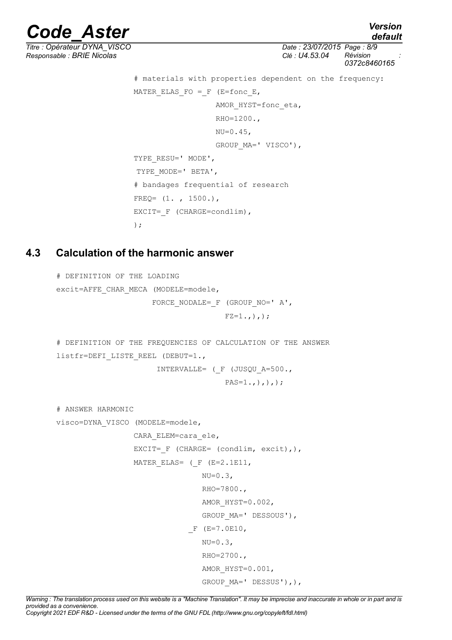*Titre : Opérateur DYNA\_VISCO Date : 23/07/2015 Page : 8/9*

```
Code_Aster Version
                                                             default
Responsable : BRIE Nicolas Clé : U4.53.04 Révision :
                                                         0372c8460165
                    # materials with properties dependent on the frequency:
                   MATER ELAS FO = F (E=fonc E,
                                 AMOR HYST=fonc eta,
                                  RHO=1200.,
                                  NU=0.45,
                                   GROUP_MA=' VISCO'),
                   TYPE RESU=' MODE',
                   TYPE_MODE=' BETA',
                    # bandages frequential of research
```
 $FREQ= (1. , 1500.),$ 

EXCIT= F (CHARGE=condlim),

);

## **4.3 Calculation of the harmonic answer**

```
# DEFINITION OF THE LOADING
excit=AFFE_CHAR_MECA (MODELE=modele,
                      FORCE NODALE= F (GROUP NO=' A',
                                      FZ=1., ), );
# DEFINITION OF THE FREQUENCIES OF CALCULATION OF THE ANSWER
listfr=DEFI_LISTE_REEL (DEBUT=1.,
                        INTERVALLE= (_F (JUSQU_A=500.,
                                      PAS=1,),),),# ANSWER HARMONIC
visco=DYNA_VISCO (MODELE=modele,
                  CARA_ELEM=cara_ele,
                 EXCIT= F (CHARGE= (condlim, excit),),
                 MATER ELAS= (F (E=2.1E11,
                                 NU=0.3,
                                  RHO=7800.,
                                 AMOR HYST=0.002,
                                  GROUP_MA=' DESSOUS'),
                              F (E=7.0E10,
                                 NU=0.3,
                                  RHO=2700.,
                                  AMOR_HYST=0.001,
                                 GROUP MA=' DESSUS'),),
```